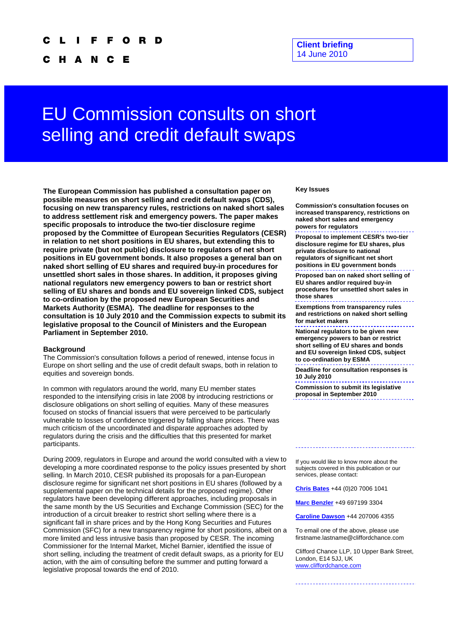#### O R. D

C H A N. **C** Е

# **Client briefing**  14 June 2010

# EU Commission consults on short selling and credit default swaps

**The European Commission has published a consultation paper on possible measures on short selling and credit default swaps (CDS), focusing on new transparency rules, restrictions on naked short sales to address settlement risk and emergency powers. The paper makes specific proposals to introduce the two-tier disclosure regime proposed by the Committee of European Securities Regulators (CESR) in relation to net short positions in EU shares, but extending this to require private (but not public) disclosure to regulators of net short positions in EU government bonds. It also proposes a general ban on naked short selling of EU shares and required buy-in procedures for unsettled short sales in those shares. In addition, it proposes giving national regulators new emergency powers to ban or restrict short selling of EU shares and bonds and EU sovereign linked CDS, subject to co-ordination by the proposed new European Securities and Markets Authority (ESMA). The deadline for responses to the consultation is 10 July 2010 and the Commission expects to submit its legislative proposal to the Council of Ministers and the European Parliament in September 2010.** 

#### **Background**

The Commission's consultation follows a period of renewed, intense focus in Europe on short selling and the use of credit default swaps, both in relation to equities and sovereign bonds.

In common with regulators around the world, many EU member states responded to the intensifying crisis in late 2008 by introducing restrictions or disclosure obligations on short selling of equities. Many of these measures focused on stocks of financial issuers that were perceived to be particularly vulnerable to losses of confidence triggered by falling share prices. There was much criticism of the uncoordinated and disparate approaches adopted by regulators during the crisis and the difficulties that this presented for market participants.

During 2009, regulators in Europe and around the world consulted with a view to developing a more coordinated response to the policy issues presented by short selling. In March 2010, CESR published its proposals for a pan-European disclosure regime for significant net short positions in EU shares (followed by a supplemental paper on the technical details for the proposed regime). Other regulators have been developing different approaches, including proposals in the same month by the US Securities and Exchange Commission (SEC) for the introduction of a circuit breaker to restrict short selling where there is a significant fall in share prices and by the Hong Kong Securities and Futures Commission (SFC) for a new transparency regime for short positions, albeit on a more limited and less intrusive basis than proposed by CESR. The incoming Commissioner for the Internal Market, Michel Barnier, identified the issue of short selling, including the treatment of credit default swaps, as a priority for EU action, with the aim of consulting before the summer and putting forward a legislative proposal towards the end of 2010.

#### **Key Issues**

**Commission's consultation focuses on increased transparency, restrictions on naked short sales and emergency powers for regulators** 

**Proposal to implement CESR's two-tier disclosure regime for EU shares, plus private disclosure to national regulators of significant net short positions in EU government bonds** 

**Proposed ban on naked short selling of EU shares and/or required buy-in procedures for unsettled short sales in those shares** 

**Exemptions from transparency rules and restrictions on naked short selling for market makers** 

**National regulators to be given new emergency powers to ban or restrict short selling of EU shares and bonds and EU sovereign linked CDS, subject to co-ordination by ESMA** 

**Deadline for consultation responses is 10 July 2010** 

**Commission to submit its legislative proposal in September 2010** 

If you would like to know more about the subjects covered in this publication or our services, please contact:

**[Chris Bates](mailto:Chris.Bates@cliffordchance.com)** +44 (0)20 7006 1041

**[Marc Benzler](mailto:Marc.Benzler@CliffordChance.com)** +49 697199 3304

**[Caroline Dawson](mailto:Caroline.Dawson@CliffordChance.com)** +44 207006 4355

To email one of the above, please use firstname.lastname@cliffordchance.com

Clifford Chance LLP, 10 Upper Bank Street, London, E14 5JJ, UK [www.cliffordchance.com](http://www.cliffordchance.com/)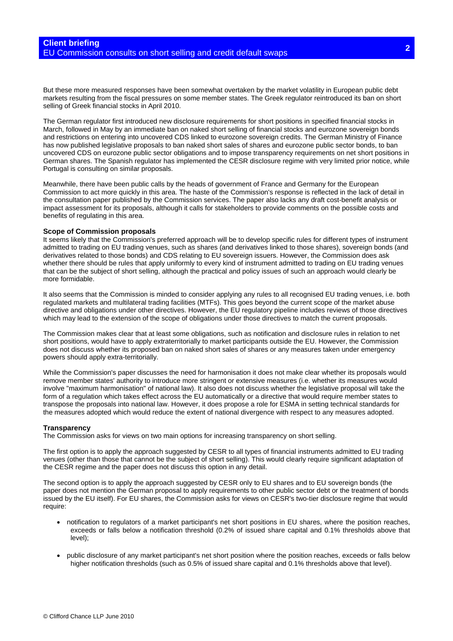But these more measured responses have been somewhat overtaken by the market volatility in European public debt markets resulting from the fiscal pressures on some member states. The Greek regulator reintroduced its ban on short selling of Greek financial stocks in April 2010.

The German regulator first introduced new disclosure requirements for short positions in specified financial stocks in March, followed in May by an immediate ban on naked short selling of financial stocks and eurozone sovereign bonds and restrictions on entering into uncovered CDS linked to eurozone sovereign credits. The German Ministry of Finance has now published legislative proposals to ban naked short sales of shares and eurozone public sector bonds, to ban uncovered CDS on eurozone public sector obligations and to impose transparency requirements on net short positions in German shares. The Spanish regulator has implemented the CESR disclosure regime with very limited prior notice, while Portugal is consulting on similar proposals.

Meanwhile, there have been public calls by the heads of government of France and Germany for the European Commission to act more quickly in this area. The haste of the Commission's response is reflected in the lack of detail in the consultation paper published by the Commission services. The paper also lacks any draft cost-benefit analysis or impact assessment for its proposals, although it calls for stakeholders to provide comments on the possible costs and benefits of regulating in this area.

#### **Scope of Commission proposals**

It seems likely that the Commission's preferred approach will be to develop specific rules for different types of instrument admitted to trading on EU trading venues, such as shares (and derivatives linked to those shares), sovereign bonds (and derivatives related to those bonds) and CDS relating to EU sovereign issuers. However, the Commission does ask whether there should be rules that apply uniformly to every kind of instrument admitted to trading on EU trading venues that can be the subject of short selling, although the practical and policy issues of such an approach would clearly be more formidable.

It also seems that the Commission is minded to consider applying any rules to all recognised EU trading venues, i.e. both regulated markets and multilateral trading facilities (MTFs). This goes beyond the current scope of the market abuse directive and obligations under other directives. However, the EU regulatory pipeline includes reviews of those directives which may lead to the extension of the scope of obligations under those directives to match the current proposals.

The Commission makes clear that at least some obligations, such as notification and disclosure rules in relation to net short positions, would have to apply extraterritorially to market participants outside the EU. However, the Commission does not discuss whether its proposed ban on naked short sales of shares or any measures taken under emergency powers should apply extra-territorially.

While the Commission's paper discusses the need for harmonisation it does not make clear whether its proposals would remove member states' authority to introduce more stringent or extensive measures (i.e. whether its measures would involve "maximum harmonisation" of national law). It also does not discuss whether the legislative proposal will take the form of a regulation which takes effect across the EU automatically or a directive that would require member states to transpose the proposals into national law. However, it does propose a role for ESMA in setting technical standards for the measures adopted which would reduce the extent of national divergence with respect to any measures adopted.

### **Transparency**

The Commission asks for views on two main options for increasing transparency on short selling.

The first option is to apply the approach suggested by CESR to all types of financial instruments admitted to EU trading venues (other than those that cannot be the subject of short selling). This would clearly require significant adaptation of the CESR regime and the paper does not discuss this option in any detail.

The second option is to apply the approach suggested by CESR only to EU shares and to EU sovereign bonds (the paper does not mention the German proposal to apply requirements to other public sector debt or the treatment of bonds issued by the EU itself). For EU shares, the Commission asks for views on CESR's two-tier disclosure regime that would require:

- notification to regulators of a market participant's net short positions in EU shares, where the position reaches, exceeds or falls below a notification threshold (0.2% of issued share capital and 0.1% thresholds above that level);
- public disclosure of any market participant's net short position where the position reaches, exceeds or falls below higher notification thresholds (such as 0.5% of issued share capital and 0.1% thresholds above that level).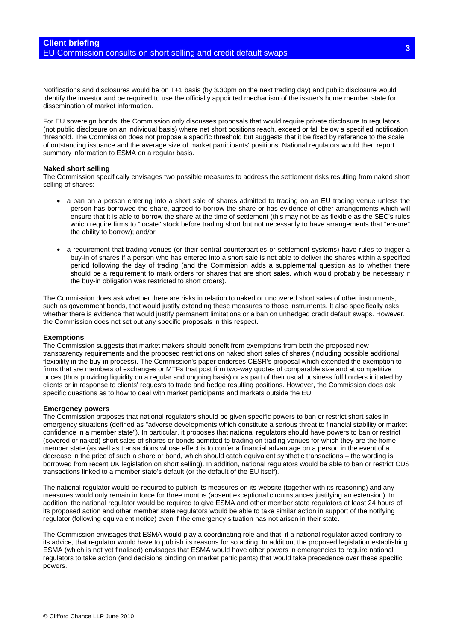Notifications and disclosures would be on T+1 basis (by 3.30pm on the next trading day) and public disclosure would identify the investor and be required to use the officially appointed mechanism of the issuer's home member state for dissemination of market information.

For EU sovereign bonds, the Commission only discusses proposals that would require private disclosure to regulators (not public disclosure on an individual basis) where net short positions reach, exceed or fall below a specified notification threshold. The Commission does not propose a specific threshold but suggests that it be fixed by reference to the scale of outstanding issuance and the average size of market participants' positions. National regulators would then report summary information to ESMA on a regular basis.

#### **Naked short selling**

The Commission specifically envisages two possible measures to address the settlement risks resulting from naked short selling of shares:

- a ban on a person entering into a short sale of shares admitted to trading on an EU trading venue unless the person has borrowed the share, agreed to borrow the share or has evidence of other arrangements which will ensure that it is able to borrow the share at the time of settlement (this may not be as flexible as the SEC's rules which require firms to "locate" stock before trading short but not necessarily to have arrangements that "ensure" the ability to borrow); and/or
- a requirement that trading venues (or their central counterparties or settlement systems) have rules to trigger a buy-in of shares if a person who has entered into a short sale is not able to deliver the shares within a specified period following the day of trading (and the Commission adds a supplemental question as to whether there should be a requirement to mark orders for shares that are short sales, which would probably be necessary if the buy-in obligation was restricted to short orders).

The Commission does ask whether there are risks in relation to naked or uncovered short sales of other instruments, such as government bonds, that would justify extending these measures to those instruments. It also specifically asks whether there is evidence that would justify permanent limitations or a ban on unhedged credit default swaps. However, the Commission does not set out any specific proposals in this respect.

### **Exemptions**

The Commission suggests that market makers should benefit from exemptions from both the proposed new transparency requirements and the proposed restrictions on naked short sales of shares (including possible additional flexibility in the buy-in process). The Commission's paper endorses CESR's proposal which extended the exemption to firms that are members of exchanges or MTFs that post firm two-way quotes of comparable size and at competitive prices (thus providing liquidity on a regular and ongoing basis) or as part of their usual business fulfil orders initiated by clients or in response to clients' requests to trade and hedge resulting positions. However, the Commission does ask specific questions as to how to deal with market participants and markets outside the EU.

#### **Emergency powers**

The Commission proposes that national regulators should be given specific powers to ban or restrict short sales in emergency situations (defined as "adverse developments which constitute a serious threat to financial stability or market confidence in a member state"). In particular, it proposes that national regulators should have powers to ban or restrict (covered or naked) short sales of shares or bonds admitted to trading on trading venues for which they are the home member state (as well as transactions whose effect is to confer a financial advantage on a person in the event of a decrease in the price of such a share or bond, which should catch equivalent synthetic transactions – the wording is borrowed from recent UK legislation on short selling). In addition, national regulators would be able to ban or restrict CDS transactions linked to a member state's default (or the default of the EU itself).

The national regulator would be required to publish its measures on its website (together with its reasoning) and any measures would only remain in force for three months (absent exceptional circumstances justifying an extension). In addition, the national regulator would be required to give ESMA and other member state regulators at least 24 hours of its proposed action and other member state regulators would be able to take similar action in support of the notifying regulator (following equivalent notice) even if the emergency situation has not arisen in their state.

The Commission envisages that ESMA would play a coordinating role and that, if a national regulator acted contrary to its advice, that regulator would have to publish its reasons for so acting. In addition, the proposed legislation establishing ESMA (which is not yet finalised) envisages that ESMA would have other powers in emergencies to require national regulators to take action (and decisions binding on market participants) that would take precedence over these specific powers.